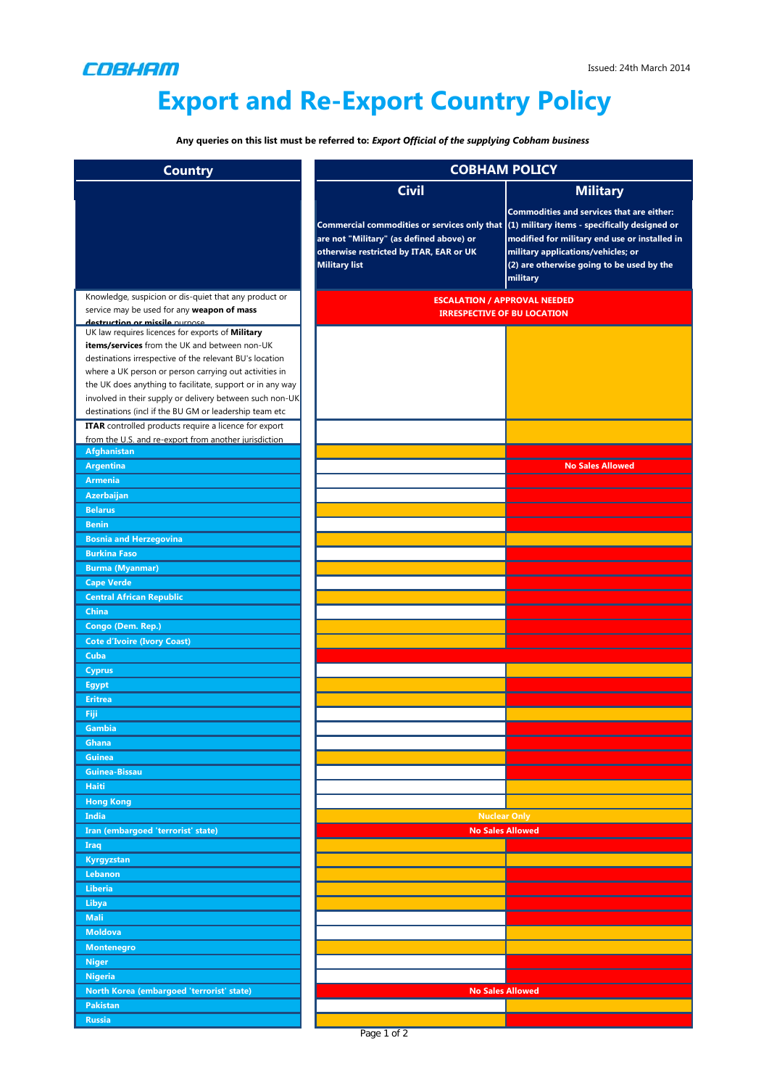

## **Export and Re-Export Country Policy**

**Any queries on this list must be referred to:** *Export Official of the supplying Cobham business*

| <b>Country</b>                                                                                                                                                                                                                                                                                                                                                                                                                                                     | <b>COBHAM POLICY</b>                                                                                                                                                                                        |                                                                                                                                                                                           |
|--------------------------------------------------------------------------------------------------------------------------------------------------------------------------------------------------------------------------------------------------------------------------------------------------------------------------------------------------------------------------------------------------------------------------------------------------------------------|-------------------------------------------------------------------------------------------------------------------------------------------------------------------------------------------------------------|-------------------------------------------------------------------------------------------------------------------------------------------------------------------------------------------|
|                                                                                                                                                                                                                                                                                                                                                                                                                                                                    | <b>Civil</b>                                                                                                                                                                                                | <b>Military</b>                                                                                                                                                                           |
|                                                                                                                                                                                                                                                                                                                                                                                                                                                                    | Commercial commodities or services only that $(1)$ military items - specifically designed or<br>are not "Military" (as defined above) or<br>otherwise restricted by ITAR, EAR or UK<br><b>Military list</b> | Commodities and services that are either:<br>modified for military end use or installed in<br>military applications/vehicles; or<br>(2) are otherwise going to be used by the<br>military |
| Knowledge, suspicion or dis-quiet that any product or                                                                                                                                                                                                                                                                                                                                                                                                              | <b>ESCALATION / APPROVAL NEEDED</b>                                                                                                                                                                         |                                                                                                                                                                                           |
| service may be used for any weapon of mass<br>destruction or missile nurnose                                                                                                                                                                                                                                                                                                                                                                                       | <b>IRRESPECTIVE OF BU LOCATION</b>                                                                                                                                                                          |                                                                                                                                                                                           |
| UK law requires licences for exports of Military<br>items/services from the UK and between non-UK<br>destinations irrespective of the relevant BU's location<br>where a UK person or person carrying out activities in<br>the UK does anything to facilitate, support or in any way<br>involved in their supply or delivery between such non-UK<br>destinations (incl if the BU GM or leadership team etc<br>ITAR controlled products require a licence for export |                                                                                                                                                                                                             |                                                                                                                                                                                           |
| from the U.S. and re-export from another jurisdiction                                                                                                                                                                                                                                                                                                                                                                                                              |                                                                                                                                                                                                             |                                                                                                                                                                                           |
| <b>Afghanistan</b>                                                                                                                                                                                                                                                                                                                                                                                                                                                 |                                                                                                                                                                                                             |                                                                                                                                                                                           |
| <b>Argentina</b>                                                                                                                                                                                                                                                                                                                                                                                                                                                   |                                                                                                                                                                                                             | <b>No Sales Allowed</b>                                                                                                                                                                   |
| <b>Armenia</b>                                                                                                                                                                                                                                                                                                                                                                                                                                                     |                                                                                                                                                                                                             |                                                                                                                                                                                           |
| <b>Azerbaijan</b>                                                                                                                                                                                                                                                                                                                                                                                                                                                  |                                                                                                                                                                                                             |                                                                                                                                                                                           |
| <b>Belarus</b>                                                                                                                                                                                                                                                                                                                                                                                                                                                     |                                                                                                                                                                                                             |                                                                                                                                                                                           |
| <b>Benin</b>                                                                                                                                                                                                                                                                                                                                                                                                                                                       |                                                                                                                                                                                                             |                                                                                                                                                                                           |
| <b>Bosnia and Herzegovina</b><br><b>Burkina Faso</b>                                                                                                                                                                                                                                                                                                                                                                                                               |                                                                                                                                                                                                             |                                                                                                                                                                                           |
| <b>Burma (Myanmar)</b>                                                                                                                                                                                                                                                                                                                                                                                                                                             |                                                                                                                                                                                                             |                                                                                                                                                                                           |
| <b>Cape Verde</b>                                                                                                                                                                                                                                                                                                                                                                                                                                                  |                                                                                                                                                                                                             |                                                                                                                                                                                           |
| <b>Central African Republic</b>                                                                                                                                                                                                                                                                                                                                                                                                                                    |                                                                                                                                                                                                             |                                                                                                                                                                                           |
| <b>China</b>                                                                                                                                                                                                                                                                                                                                                                                                                                                       |                                                                                                                                                                                                             |                                                                                                                                                                                           |
| Congo (Dem. Rep.)                                                                                                                                                                                                                                                                                                                                                                                                                                                  |                                                                                                                                                                                                             |                                                                                                                                                                                           |
| <b>Cote d'Ivoire (Ivory Coast)</b>                                                                                                                                                                                                                                                                                                                                                                                                                                 |                                                                                                                                                                                                             |                                                                                                                                                                                           |
| Cuba                                                                                                                                                                                                                                                                                                                                                                                                                                                               |                                                                                                                                                                                                             |                                                                                                                                                                                           |
| <b>Cyprus</b>                                                                                                                                                                                                                                                                                                                                                                                                                                                      |                                                                                                                                                                                                             |                                                                                                                                                                                           |
| <b>Egypt</b>                                                                                                                                                                                                                                                                                                                                                                                                                                                       |                                                                                                                                                                                                             |                                                                                                                                                                                           |
| <b>Eritrea</b>                                                                                                                                                                                                                                                                                                                                                                                                                                                     |                                                                                                                                                                                                             |                                                                                                                                                                                           |
| <b>Fiji</b>                                                                                                                                                                                                                                                                                                                                                                                                                                                        |                                                                                                                                                                                                             |                                                                                                                                                                                           |
| <b>Gambia</b>                                                                                                                                                                                                                                                                                                                                                                                                                                                      |                                                                                                                                                                                                             |                                                                                                                                                                                           |
| Ghana                                                                                                                                                                                                                                                                                                                                                                                                                                                              |                                                                                                                                                                                                             |                                                                                                                                                                                           |
| <b>Guinea</b>                                                                                                                                                                                                                                                                                                                                                                                                                                                      |                                                                                                                                                                                                             |                                                                                                                                                                                           |
| <b>Guinea-Bissau</b>                                                                                                                                                                                                                                                                                                                                                                                                                                               |                                                                                                                                                                                                             |                                                                                                                                                                                           |
| <b>Haiti</b><br><b>Hong Kong</b>                                                                                                                                                                                                                                                                                                                                                                                                                                   |                                                                                                                                                                                                             |                                                                                                                                                                                           |
| <b>India</b>                                                                                                                                                                                                                                                                                                                                                                                                                                                       |                                                                                                                                                                                                             |                                                                                                                                                                                           |
| Iran (embargoed 'terrorist' state)                                                                                                                                                                                                                                                                                                                                                                                                                                 | <b>Nuclear Only</b><br><b>No Sales Allowed</b>                                                                                                                                                              |                                                                                                                                                                                           |
| <b>Iraq</b>                                                                                                                                                                                                                                                                                                                                                                                                                                                        |                                                                                                                                                                                                             |                                                                                                                                                                                           |
| Kyrgyzstan                                                                                                                                                                                                                                                                                                                                                                                                                                                         |                                                                                                                                                                                                             |                                                                                                                                                                                           |
| Lebanon                                                                                                                                                                                                                                                                                                                                                                                                                                                            |                                                                                                                                                                                                             |                                                                                                                                                                                           |
| <b>Liberia</b>                                                                                                                                                                                                                                                                                                                                                                                                                                                     |                                                                                                                                                                                                             |                                                                                                                                                                                           |
| Libya                                                                                                                                                                                                                                                                                                                                                                                                                                                              |                                                                                                                                                                                                             |                                                                                                                                                                                           |
| <b>Mali</b>                                                                                                                                                                                                                                                                                                                                                                                                                                                        |                                                                                                                                                                                                             |                                                                                                                                                                                           |
| <b>Moldova</b>                                                                                                                                                                                                                                                                                                                                                                                                                                                     |                                                                                                                                                                                                             |                                                                                                                                                                                           |
| <b>Montenegro</b>                                                                                                                                                                                                                                                                                                                                                                                                                                                  |                                                                                                                                                                                                             |                                                                                                                                                                                           |
| <b>Niger</b>                                                                                                                                                                                                                                                                                                                                                                                                                                                       |                                                                                                                                                                                                             |                                                                                                                                                                                           |
| <b>Nigeria</b>                                                                                                                                                                                                                                                                                                                                                                                                                                                     |                                                                                                                                                                                                             |                                                                                                                                                                                           |
| North Korea (embargoed 'terrorist' state)                                                                                                                                                                                                                                                                                                                                                                                                                          | <b>No Sales Allowed</b>                                                                                                                                                                                     |                                                                                                                                                                                           |
| <b>Pakistan</b>                                                                                                                                                                                                                                                                                                                                                                                                                                                    |                                                                                                                                                                                                             |                                                                                                                                                                                           |
| <b>Russia</b>                                                                                                                                                                                                                                                                                                                                                                                                                                                      | n.                                                                                                                                                                                                          |                                                                                                                                                                                           |